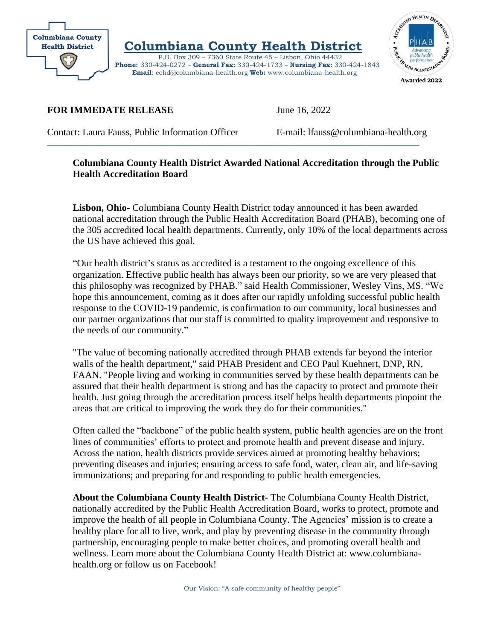

 **Columbiana County Health District** 

 P.O. Box 309 – 7360 State Route 45 – Lisbon, Ohio 44432 **Phone:** 330-424-0272 – **General Fax:** 330-424-1733 – **Nursing Fax:** 330-424-1843  **Email**: cchd@columbiana-health.org **Web:** www.columbiana-health.org

 $\_$  ,  $\_$  ,  $\_$  ,  $\_$  ,  $\_$  ,  $\_$  ,  $\_$  ,  $\_$  ,  $\_$  ,  $\_$  ,  $\_$  ,  $\_$  ,  $\_$  ,  $\_$  ,  $\_$  ,  $\_$  ,  $\_$  ,  $\_$  ,  $\_$  ,  $\_$  ,  $\_$  ,  $\_$  ,  $\_$  ,  $\_$  ,  $\_$  ,  $\_$  ,  $\_$  ,  $\_$  ,  $\_$  ,  $\_$  ,  $\_$  ,  $\_$  ,  $\_$  ,  $\_$  ,  $\_$  ,  $\_$  ,  $\_$  ,



**FOR IMMEDATE RELEASE** June 16, 2022

Contact: Laura Fauss, Public Information Officer E-mail: lfauss@columbiana-health.org

## **Columbiana County Health District Awarded National Accreditation through the Public Health Accreditation Board**

**Lisbon, Ohio**- Columbiana County Health District today announced it has been awarded national accreditation through the Public Health Accreditation Board (PHAB), becoming one of the 305 accredited local health departments. Currently, only 10% of the local departments across the US have achieved this goal.

"Our health district's status as accredited is a testament to the ongoing excellence of this organization. Effective public health has always been our priority, so we are very pleased that this philosophy was recognized by PHAB." said Health Commissioner, Wesley Vins, MS. "We hope this announcement, coming as it does after our rapidly unfolding successful public health response to the COVID-19 pandemic, is confirmation to our community, local businesses and our partner organizations that our staff is committed to quality improvement and responsive to the needs of our community."

"The value of becoming nationally accredited through PHAB extends far beyond the interior walls of the health department," said PHAB President and CEO Paul Kuehnert, DNP, RN, FAAN. "People living and working in communities served by these health departments can be assured that their health department is strong and has the capacity to protect and promote their health. Just going through the accreditation process itself helps health departments pinpoint the areas that are critical to improving the work they do for their communities."

Often called the "backbone" of the public health system, public health agencies are on the front lines of communities' efforts to protect and promote health and prevent disease and injury. Across the nation, health districts provide services aimed at promoting healthy behaviors; preventing diseases and injuries; ensuring access to safe food, water, clean air, and life-saving immunizations; and preparing for and responding to public health emergencies.

**About the Columbiana County Health District-** The Columbiana County Health District, nationally accredited by the Public Health Accreditation Board, works to protect, promote and improve the health of all people in Columbiana County. The Agencies' mission is to create a healthy place for all to live, work, and play by preventing disease in the community through partnership, encouraging people to make better choices, and promoting overall health and wellness. Learn more about the Columbiana County Health District at: www.columbianahealth.org or follow us on Facebook!